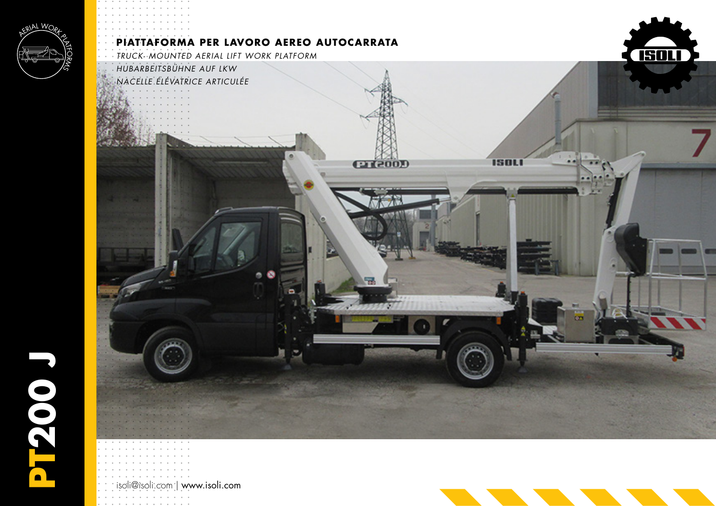

**PT200 J**